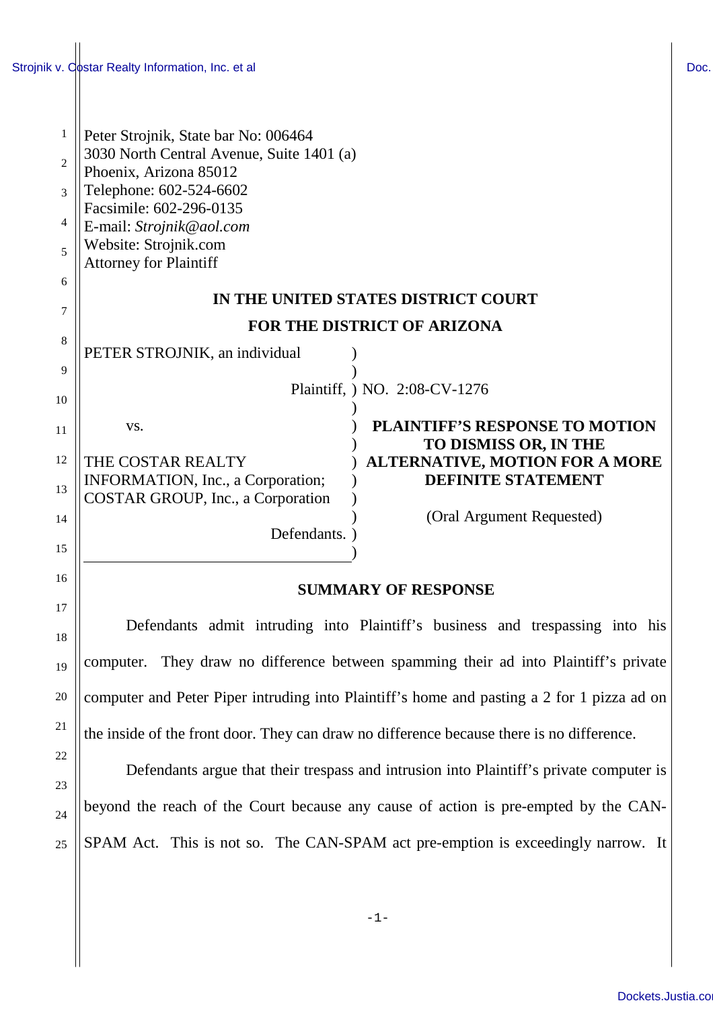1

2

3

4

5

6

7

8

9

10

11

15

16

17

18

19

20

21

22

23

24

25

| Peter Strojnik, State bar No: 006464      |                                       |  |
|-------------------------------------------|---------------------------------------|--|
| 3030 North Central Avenue, Suite 1401 (a) |                                       |  |
| Phoenix, Arizona 85012                    |                                       |  |
| Telephone: 602-524-6602                   |                                       |  |
| Facsimile: 602-296-0135                   |                                       |  |
| E-mail: Strojnik@aol.com                  |                                       |  |
| Website: Strojnik.com                     |                                       |  |
| <b>Attorney for Plaintiff</b>             |                                       |  |
| IN THE UNITED STATES DISTRICT COURT       |                                       |  |
| <b>FOR THE DISTRICT OF ARIZONA</b>        |                                       |  |
| PETER STROJNIK, an individual             |                                       |  |
|                                           |                                       |  |
| Plaintiff, ) NO. 2:08-CV-1276             |                                       |  |
|                                           |                                       |  |
| VS.                                       | <b>PLAINTIFF'S RESPONSE TO MOTION</b> |  |
|                                           | <b>TO DISMISS OR, IN THE</b>          |  |

12 13 14 THE COSTAR REALTY INFORMATION, Inc., a Corporation; COSTAR GROUP, Inc., a Corporation

Defendants. )

) ) )

)

# ) **ALTERNATIVE, MOTION FOR A MORE TO DISMISS OR, IN THE DEFINITE STATEMENT**

(Oral Argument Requested)

## **SUMMARY OF RESPONSE**

Defendants admit intruding into Plaintiff's business and trespassing into his computer. They draw no difference between spamming their ad into Plaintiff's private computer and Peter Piper intruding into Plaintiff's home and pasting a 2 for 1 pizza ad on the inside of the front door. They can draw no difference because there is no difference.

Defendants argue that their trespass and intrusion into Plaintiff's private computer is beyond the reach of the Court because any cause of action is pre-empted by the CAN-SPAM Act. This is not so. The CAN-SPAM act pre-emption is exceedingly narrow. It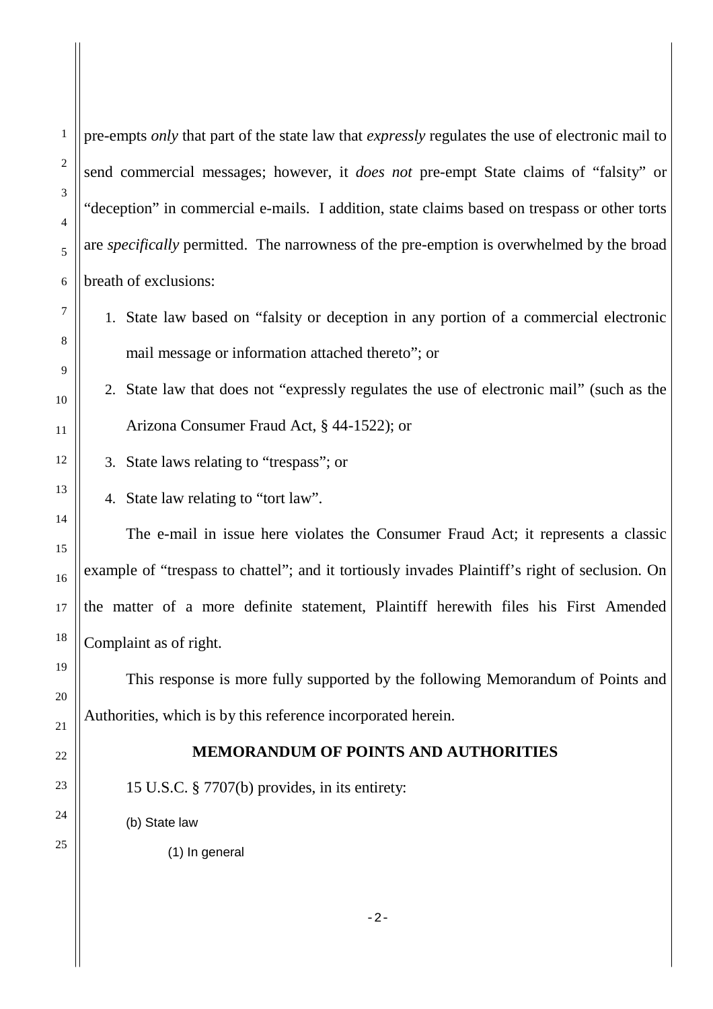1

2

3

4

pre-empts *only* that part of the state law that *expressly* regulates the use of electronic mail to send commercial messages; however, it *does not* pre-empt State claims of "falsity" or "deception" in commercial e-mails. I addition, state claims based on trespass or other torts are *specifically* permitted. The narrowness of the pre-emption is overwhelmed by the broad breath of exclusions:

1. State law based on "falsity or deception in any portion of a commercial electronic mail message or information attached thereto"; or

2. State law that does not "expressly regulates the use of electronic mail" (such as the Arizona Consumer Fraud Act, § 44-1522); or

- 3. State laws relating to "trespass"; or
- 4. State law relating to "tort law".

The e-mail in issue here violates the Consumer Fraud Act; it represents a classic example of "trespass to chattel"; and it tortiously invades Plaintiff's right of seclusion. On the matter of a more definite statement, Plaintiff herewith files his First Amended Complaint as of right.

This response is more fully supported by the following Memorandum of Points and Authorities, which is by this reference incorporated herein.

#### **MEMORANDUM OF POINTS AND AUTHORITIES**

15 U.S.C. § 7707(b) provides, in its entirety:

(b) State law

(1) In general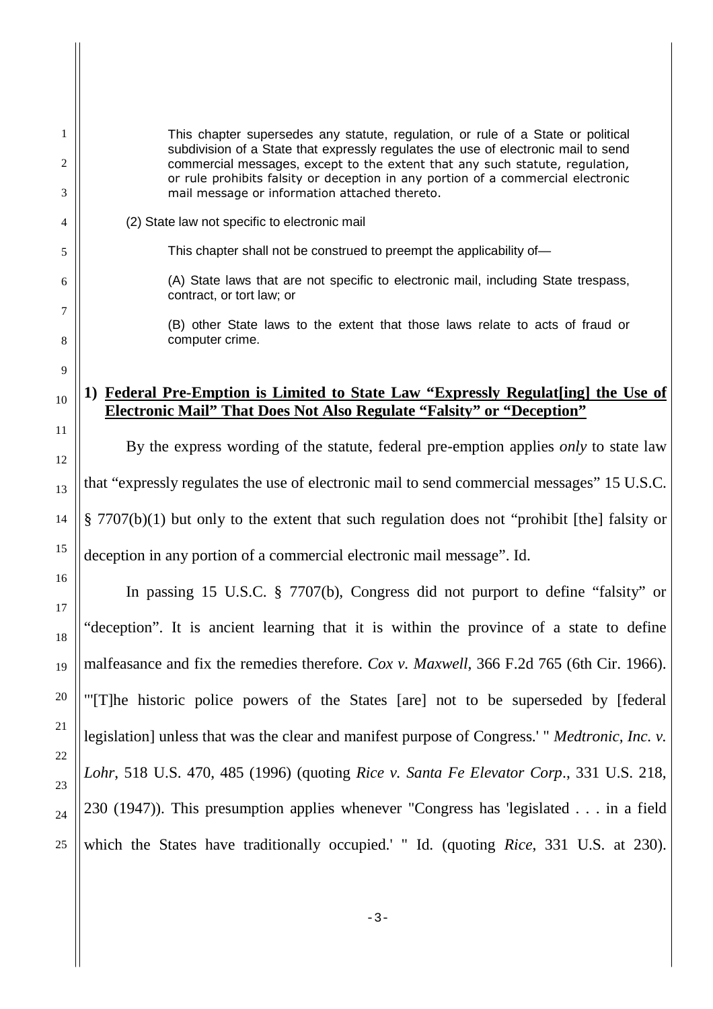This chapter supersedes any statute, regulation, or rule of a State or political subdivision of a State that expressly regulates the use of electronic mail to send commercial messages, except to the extent that any such statute, regulation, or rule prohibits falsity or deception in any portion of a commercial electronic mail message or information attached thereto.

(2) State law not specific to electronic mail

This chapter shall not be construed to preempt the applicability of—

(A) State laws that are not specific to electronic mail, including State trespass, contract, or tort law; or

(B) other State laws to the extent that those laws relate to acts of fraud or computer crime.

### **1) Federal Pre-Emption is Limited to State Law "Expressly Regulat[ing] the Use of Electronic Mail" That Does Not Also Regulate "Falsity" or "Deception"**

By the express wording of the statute, federal pre-emption applies *only* to state law that "expressly regulates the use of electronic mail to send commercial messages" 15 U.S.C. § 7707(b)(1) but only to the extent that such regulation does not "prohibit [the] falsity or deception in any portion of a commercial electronic mail message". Id.

In passing 15 U.S.C. § 7707(b), Congress did not purport to define "falsity" or "deception". It is ancient learning that it is within the province of a state to define malfeasance and fix the remedies therefore. *Cox v. Maxwell*, 366 F.2d 765 (6th Cir. 1966). "'[T]he historic police powers of the States [are] not to be superseded by [federal legislation] unless that was the clear and manifest purpose of Congress.' " *Medtronic, Inc. v. Lohr*, 518 U.S. 470, 485 (1996) (quoting *Rice v. Santa Fe Elevator Corp*., 331 U.S. 218, 230 (1947)). This presumption applies whenever "Congress has 'legislated . . . in a field which the States have traditionally occupied.' " Id. (quoting *Rice*, 331 U.S. at 230).

1

2

3

4

5

6

7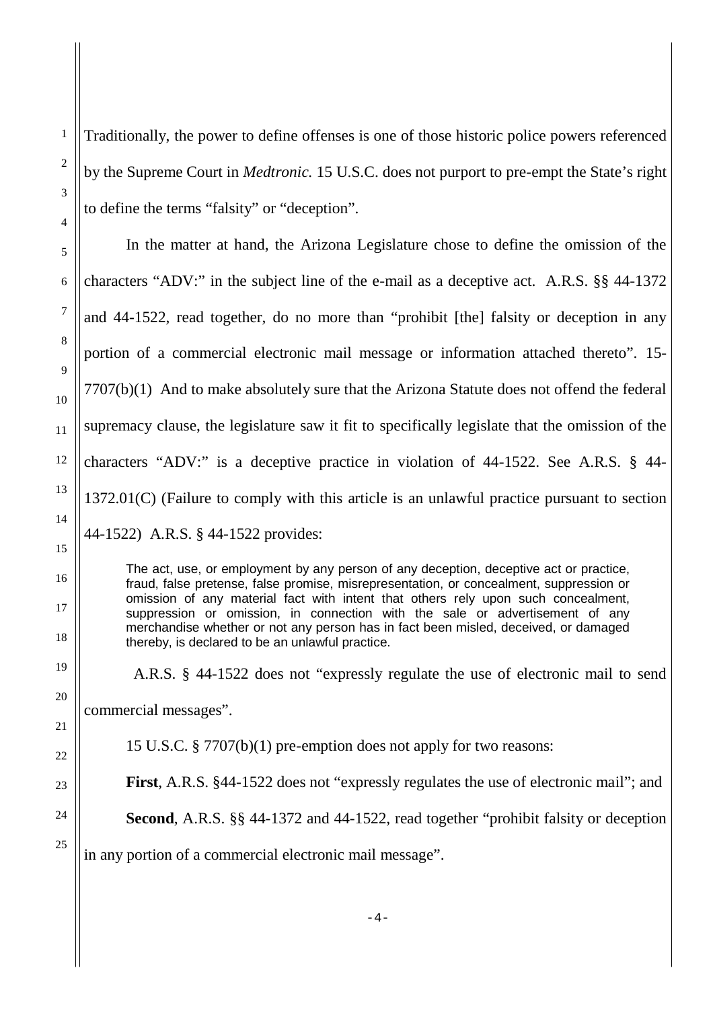Traditionally, the power to define offenses is one of those historic police powers referenced by the Supreme Court in *Medtronic.* 15 U.S.C. does not purport to pre-empt the State's right to define the terms "falsity" or "deception".

In the matter at hand, the Arizona Legislature chose to define the omission of the characters "ADV:" in the subject line of the e-mail as a deceptive act. A.R.S. §§ 44-1372 and 44-1522, read together, do no more than "prohibit [the] falsity or deception in any portion of a commercial electronic mail message or information attached thereto". 15- 7707(b)(1) And to make absolutely sure that the Arizona Statute does not offend the federal supremacy clause, the legislature saw it fit to specifically legislate that the omission of the characters "ADV:" is a deceptive practice in violation of 44-1522. See A.R.S. § 44- 1372.01(C) (Failure to comply with this article is an unlawful practice pursuant to section 44-1522) A.R.S. § 44-1522 provides:

The act, use, or employment by any person of any deception, deceptive act or practice, fraud, false pretense, false promise, misrepresentation, or concealment, suppression or omission of any material fact with intent that others rely upon such concealment, suppression or omission, in connection with the sale or advertisement of any merchandise whether or not any person has in fact been misled, deceived, or damaged thereby, is declared to be an unlawful practice.

A.R.S. § 44-1522 does not "expressly regulate the use of electronic mail to send commercial messages".

15 U.S.C. § 7707(b)(1) pre-emption does not apply for two reasons:

**First**, A.R.S. §44-1522 does not "expressly regulates the use of electronic mail"; and

**Second**, A.R.S. §§ 44-1372 and 44-1522, read together "prohibit falsity or deception

in any portion of a commercial electronic mail message".

25

1

2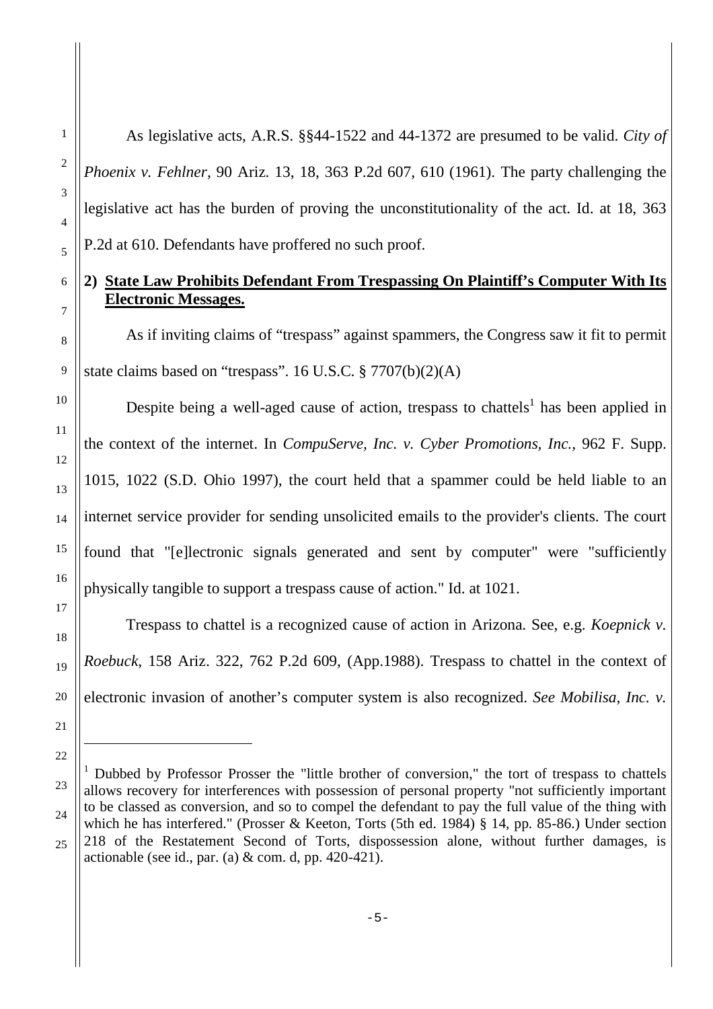As legislative acts, A.R.S. §§44-1522 and 44-1372 are presumed to be valid. *City of Phoenix v. Fehlner*, 90 Ariz. 13, 18, 363 P.2d 607, 610 (1961). The party challenging the legislative act has the burden of proving the unconstitutionality of the act. Id. at 18, 363 P.2d at 610. Defendants have proffered no such proof.

### **2) State Law Prohibits Defendant From Trespassing On Plaintiff's Computer With Its Electronic Messages.**

As if inviting claims of "trespass" against spammers, the Congress saw it fit to permit state claims based on "trespass". 16 U.S.C. § 7707(b)(2)(A)

Despite being a well-aged cause of action, trespass to chattels<sup>1</sup> has been applied in the context of the internet. In *CompuServe, Inc. v. Cyber Promotions, Inc.,* 962 F. Supp. 1015, 1022 (S.D. Ohio 1997), the court held that a spammer could be held liable to an internet service provider for sending unsolicited emails to the provider's clients. The court found that "[e]lectronic signals generated and sent by computer" were "sufficiently physically tangible to support a trespass cause of action." Id. at 1021.

Trespass to chattel is a recognized cause of action in Arizona. See, e.g. *Koepnick v. Roebuck*, 158 Ariz. 322, 762 P.2d 609, (App.1988). Trespass to chattel in the context of electronic invasion of another's computer system is also recognized. *See Mobilisa, Inc. v.*

<sup>&</sup>lt;sup>1</sup> Dubbed by Professor Prosser the "little brother of conversion," the tort of trespass to chattels allows recovery for interferences with possession of personal property "not sufficiently important to be classed as conversion, and so to compel the defendant to pay the full value of the thing with which he has interfered." (Prosser & Keeton, Torts (5th ed. 1984) § 14, pp. 85-86.) Under section 218 of the Restatement Second of Torts, dispossession alone, without further damages, is actionable (see id., par. (a)  $&$  com. d, pp. 420-421).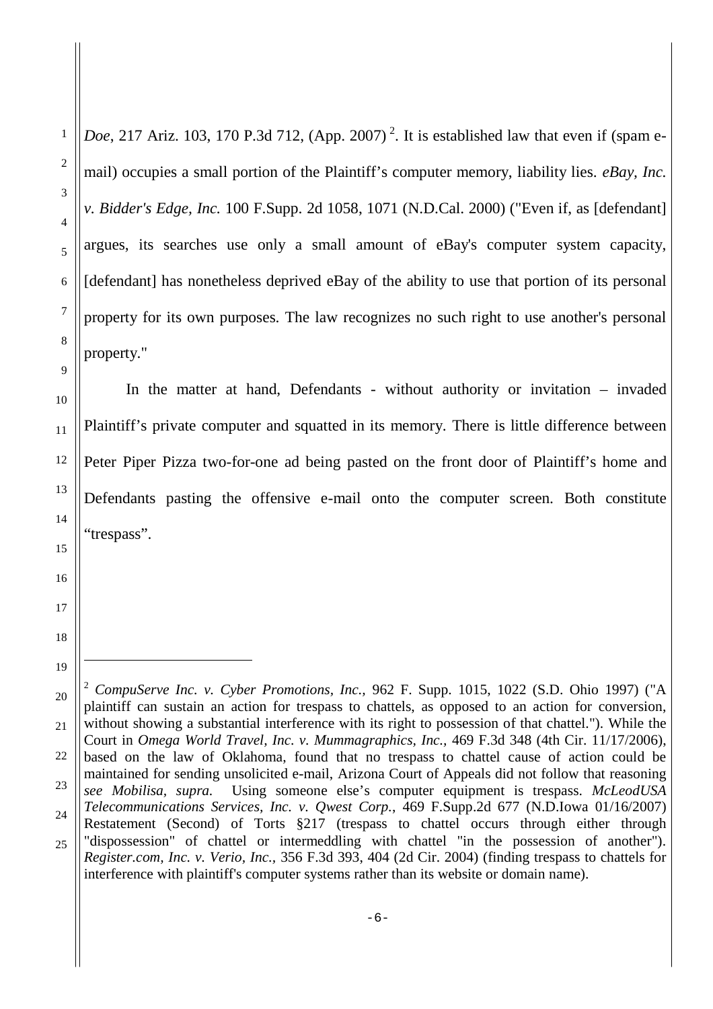1

*Doe*, 217 Ariz. 103, 170 P.3d 712, (App. 2007)<sup>2</sup>. It is established law that even if (spam email) occupies a small portion of the Plaintiff's computer memory, liability lies. *eBay, Inc. v. Bidder's Edge, Inc.* 100 F.Supp. 2d 1058, 1071 (N.D.Cal. 2000) ("Even if, as [defendant] argues, its searches use only a small amount of eBay's computer system capacity, [defendant] has nonetheless deprived eBay of the ability to use that portion of its personal property for its own purposes. The law recognizes no such right to use another's personal property."

In the matter at hand, Defendants - without authority or invitation – invaded Plaintiff's private computer and squatted in its memory. There is little difference between Peter Piper Pizza two-for-one ad being pasted on the front door of Plaintiff's home and Defendants pasting the offensive e-mail onto the computer screen. Both constitute "trespass".

<sup>25</sup> <sup>2</sup> *CompuServe Inc. v. Cyber Promotions, Inc.,* 962 F. Supp. 1015, 1022 (S.D. Ohio 1997) ("A plaintiff can sustain an action for trespass to chattels, as opposed to an action for conversion, without showing a substantial interference with its right to possession of that chattel."). While the Court in *Omega World Travel, Inc. v. Mummagraphics, Inc.,* 469 F.3d 348 (4th Cir. 11/17/2006), based on the law of Oklahoma, found that no trespass to chattel cause of action could be maintained for sending unsolicited e-mail, Arizona Court of Appeals did not follow that reasoning *see Mobilisa, supra.* Using someone else's computer equipment is trespass. *McLeodUSA Telecommunications Services, Inc. v. Qwest Corp.*, 469 F.Supp.2d 677 (N.D.Iowa 01/16/2007) Restatement (Second) of Torts §217 (trespass to chattel occurs through either through "dispossession" of chattel or intermeddling with chattel "in the possession of another"). *Register.com, Inc. v. Verio, Inc.,* 356 F.3d 393, 404 (2d Cir. 2004) (finding trespass to chattels for interference with plaintiff's computer systems rather than its website or domain name).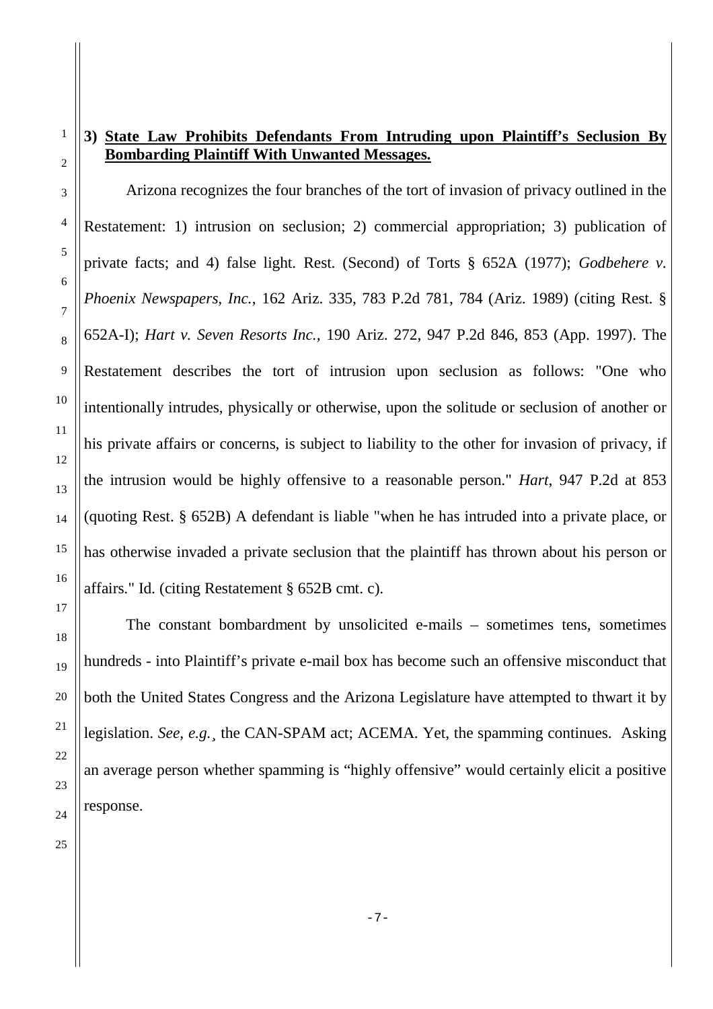## **3) State Law Prohibits Defendants From Intruding upon Plaintiff's Seclusion By Bombarding Plaintiff With Unwanted Messages.**

Arizona recognizes the four branches of the tort of invasion of privacy outlined in the Restatement: 1) intrusion on seclusion; 2) commercial appropriation; 3) publication of private facts; and 4) false light. Rest. (Second) of Torts § 652A (1977); *Godbehere v. Phoenix Newspapers, Inc.*, 162 Ariz. 335, 783 P.2d 781, 784 (Ariz. 1989) (citing Rest. § 652A-I); *Hart v. Seven Resorts Inc.,* 190 Ariz. 272, 947 P.2d 846, 853 (App. 1997). The Restatement describes the tort of intrusion upon seclusion as follows: "One who intentionally intrudes, physically or otherwise, upon the solitude or seclusion of another or his private affairs or concerns, is subject to liability to the other for invasion of privacy, if the intrusion would be highly offensive to a reasonable person." *Hart*, 947 P.2d at 853 (quoting Rest. § 652B) A defendant is liable "when he has intruded into a private place, or has otherwise invaded a private seclusion that the plaintiff has thrown about his person or affairs." Id. (citing Restatement § 652B cmt. c).

The constant bombardment by unsolicited e-mails – sometimes tens, sometimes hundreds - into Plaintiff's private e-mail box has become such an offensive misconduct that both the United States Congress and the Arizona Legislature have attempted to thwart it by legislation. *See, e.g.¸* the CAN-SPAM act; ACEMA. Yet, the spamming continues. Asking an average person whether spamming is "highly offensive" would certainly elicit a positive response.

1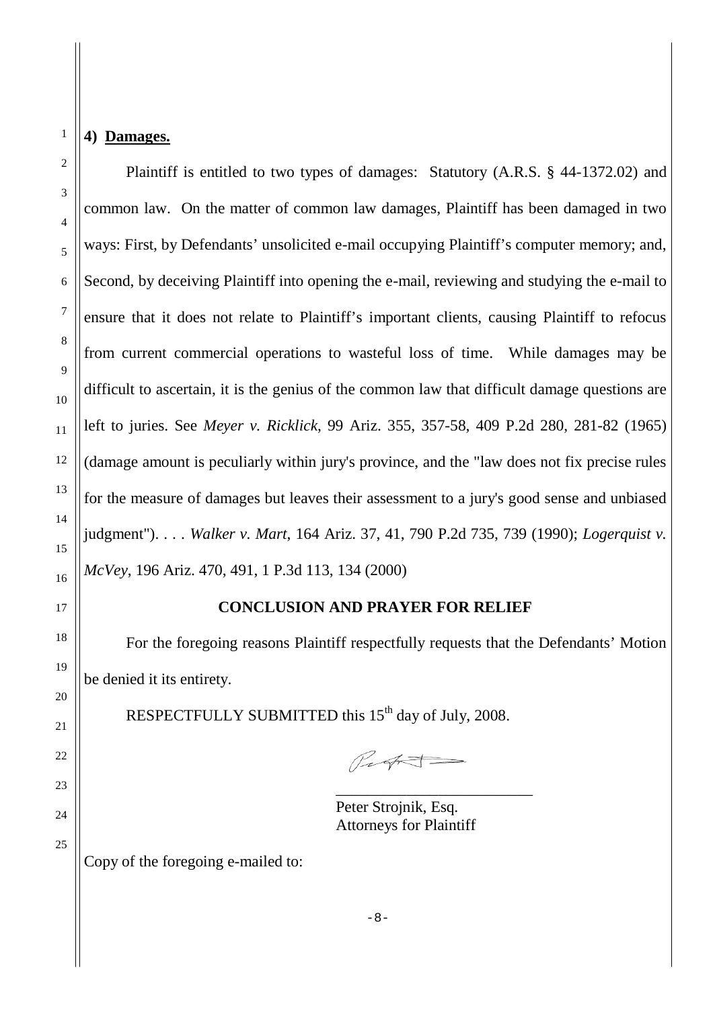#### **4) Damages.**

1

Plaintiff is entitled to two types of damages: Statutory (A.R.S. § 44-1372.02) and common law. On the matter of common law damages, Plaintiff has been damaged in two ways: First, by Defendants' unsolicited e-mail occupying Plaintiff's computer memory; and, Second, by deceiving Plaintiff into opening the e-mail, reviewing and studying the e-mail to ensure that it does not relate to Plaintiff's important clients, causing Plaintiff to refocus from current commercial operations to wasteful loss of time. While damages may be difficult to ascertain, it is the genius of the common law that difficult damage questions are left to juries. See *Meyer v. Ricklick*, 99 Ariz. 355, 357-58, 409 P.2d 280, 281-82 (1965) (damage amount is peculiarly within jury's province, and the "law does not fix precise rules for the measure of damages but leaves their assessment to a jury's good sense and unbiased judgment"). . . . *Walker v. Mart*, 164 Ariz. 37, 41, 790 P.2d 735, 739 (1990); *Logerquist v. McVey*, 196 Ariz. 470, 491, 1 P.3d 113, 134 (2000)

#### **CONCLUSION AND PRAYER FOR RELIEF**

For the foregoing reasons Plaintiff respectfully requests that the Defendants' Motion be denied it its entirety.

RESPECTFULLY SUBMITTED this 15<sup>th</sup> day of July, 2008.

Pught-

\_\_\_\_\_\_\_\_\_\_\_\_\_\_\_\_\_\_\_\_\_\_\_\_\_

Peter Strojnik, Esq. Attorneys for Plaintiff

Copy of the foregoing e-mailed to:

 $-8-$